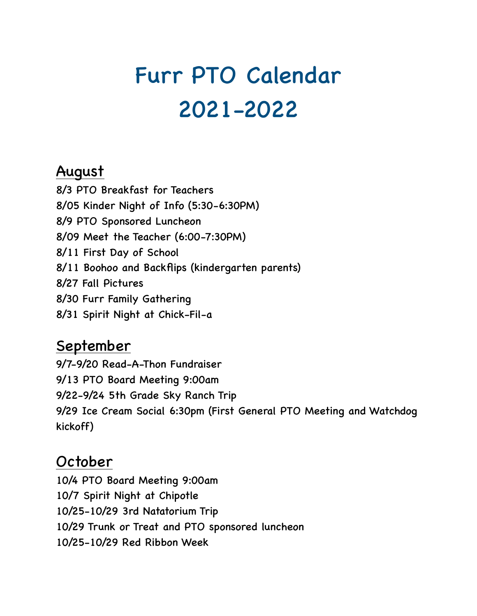# Furr PTO Calendar 2021-2022

## August

8/3 PTO Breakfast for Teachers 8/05 Kinder Night of Info (5:30-6:30PM) 8/9 PTO Sponsored Luncheon 8/09 Meet the Teacher (6:00-7:30PM) 8/11 First Day of School 8/11 Boohoo and Backflips (kindergarten parents) 8/27 Fall Pictures 8/30 Furr Family Gathering 8/31 Spirit Night at Chick-Fil-a

# September

9/7-9/20 Read-A-Thon Fundraiser 9/13 PTO Board Meeting 9:00am 9/22-9/24 5th Grade Sky Ranch Trip 9/29 Ice Cream Social 6:30pm (First General PTO Meeting and Watchdog kickoff)

# October

10/4 PTO Board Meeting 9:00am 10/7 Spirit Night at Chipotle 10/25-10/29 3rd Natatorium Trip 10/29 Trunk or Treat and PTO sponsored luncheon 10/25-10/29 Red Ribbon Week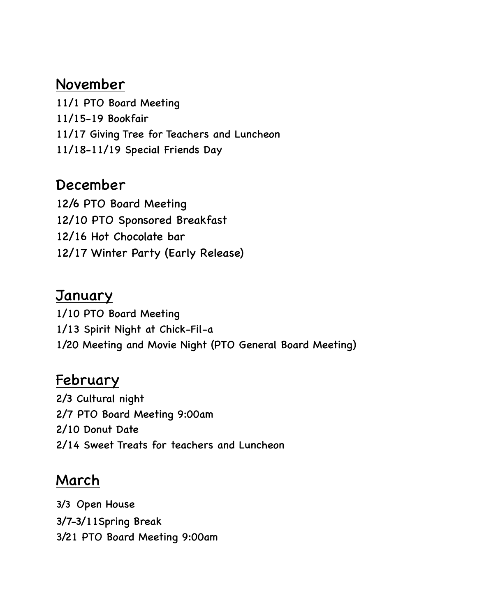## November

11/1 PTO Board Meeting 11/15-19 Bookfair 11/17 Giving Tree for Teachers and Luncheon 11/18-11/19 Special Friends Day

#### December

12/6 PTO Board Meeting 12/10 PTO Sponsored Breakfast 12/16 Hot Chocolate bar 12/17 Winter Party (Early Release)

#### **January**

1/10 PTO Board Meeting 1/13 Spirit Night at Chick-Fil-a 1/20 Meeting and Movie Night (PTO General Board Meeting)

## February

2/3 Cultural night 2/7 PTO Board Meeting 9:00am 2/10 Donut Date 2/14 Sweet Treats for teachers and Luncheon

# March

3/3 Open House 3/7-3/11Spring Break 3/21 PTO Board Meeting 9:00am